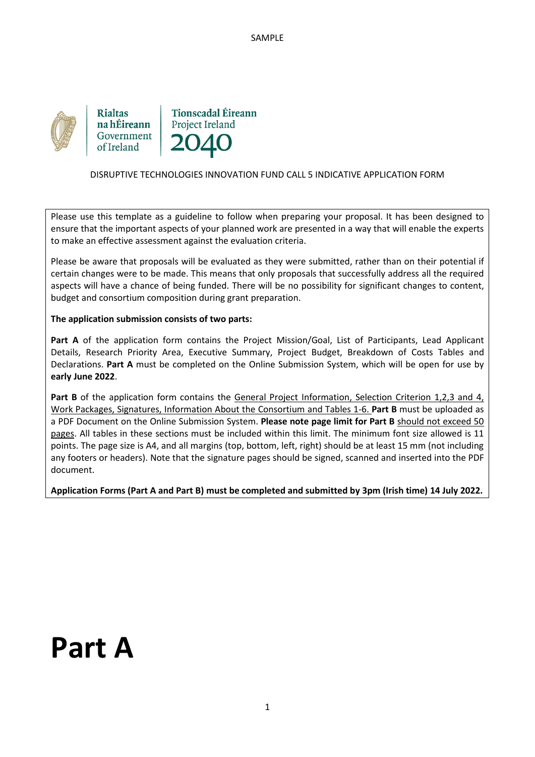

**Rialtas** na hÉireann Government of Ireland

**Tionscadal Éireann Project Ireland** 

#### DISRUPTIVE TECHNOLOGIES INNOVATION FUND CALL 5 INDICATIVE APPLICATION FORM

Please use this template as a guideline to follow when preparing your proposal. It has been designed to ensure that the important aspects of your planned work are presented in a way that will enable the experts to make an effective assessment against the evaluation criteria.

Please be aware that proposals will be evaluated as they were submitted, rather than on their potential if certain changes were to be made. This means that only proposals that successfully address all the required aspects will have a chance of being funded. There will be no possibility for significant changes to content, budget and consortium composition during grant preparation.

#### **The application submission consists of two parts:**

**Part A** of the application form contains the Project Mission/Goal, List of Participants, Lead Applicant Details, Research Priority Area, Executive Summary, Project Budget, Breakdown of Costs Tables and Declarations. **Part A** must be completed on the Online Submission System, which will be open for use by **early June 2022**.

Part B of the application form contains the General Project Information, Selection Criterion 1,2,3 and 4, Work Packages, Signatures, Information About the Consortium and Tables 1-6. **Part B** must be uploaded as a PDF Document on the Online Submission System. **Please note page limit for Part B** should not exceed 50 pages. All tables in these sections must be included within this limit. The minimum font size allowed is 11 points. The page size is A4, and all margins (top, bottom, left, right) should be at least 15 mm (not including any footers or headers). Note that the signature pages should be signed, scanned and inserted into the PDF document.

**Application Forms (Part A and Part B) must be completed and submitted by 3pm (Irish time) 14 July 2022.**

# **Part A**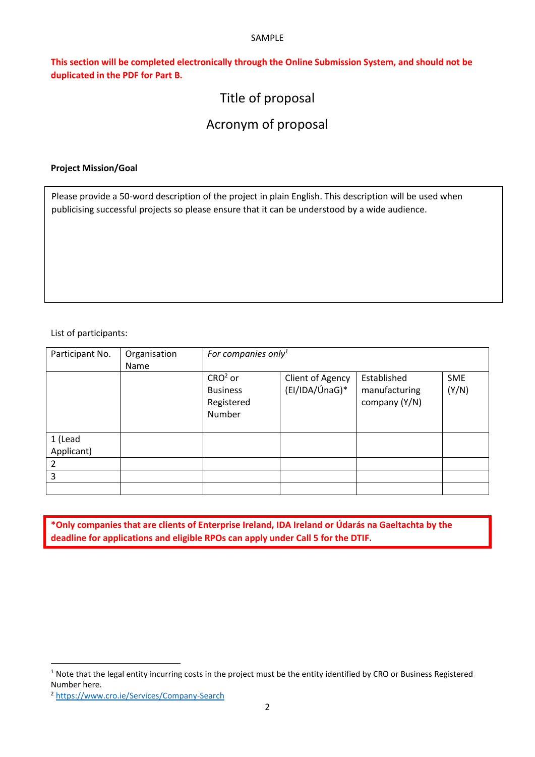**This section will be completed electronically through the Online Submission System, and should not be duplicated in the PDF for Part B.** 

# Title of proposal

# Acronym of proposal

#### **Project Mission/Goal**

Please provide a 50-word description of the project in plain English. This description will be used when publicising successful projects so please ensure that it can be understood by a wide audience.

List of participants:

| Participant No.       | Organisation<br>Name | For companies only <sup>1</sup>                      |                                    |                                               |                     |
|-----------------------|----------------------|------------------------------------------------------|------------------------------------|-----------------------------------------------|---------------------|
|                       |                      | $CRO2$ or<br><b>Business</b><br>Registered<br>Number | Client of Agency<br>(El/IDA/ÚnaG)* | Established<br>manufacturing<br>company (Y/N) | <b>SME</b><br>(Y/N) |
| 1 (Lead<br>Applicant) |                      |                                                      |                                    |                                               |                     |
| $\mathfrak{p}$        |                      |                                                      |                                    |                                               |                     |
| 3                     |                      |                                                      |                                    |                                               |                     |
|                       |                      |                                                      |                                    |                                               |                     |

**\*Only companies that are clients of Enterprise Ireland, IDA Ireland or Údarás na Gaeltachta by the deadline for applications and eligible RPOs can apply under Call 5 for the DTIF.**

<sup>&</sup>lt;sup>1</sup> Note that the legal entity incurring costs in the project must be the entity identified by CRO or Business Registered Number here.

<sup>2</sup> <https://www.cro.ie/Services/Company-Search>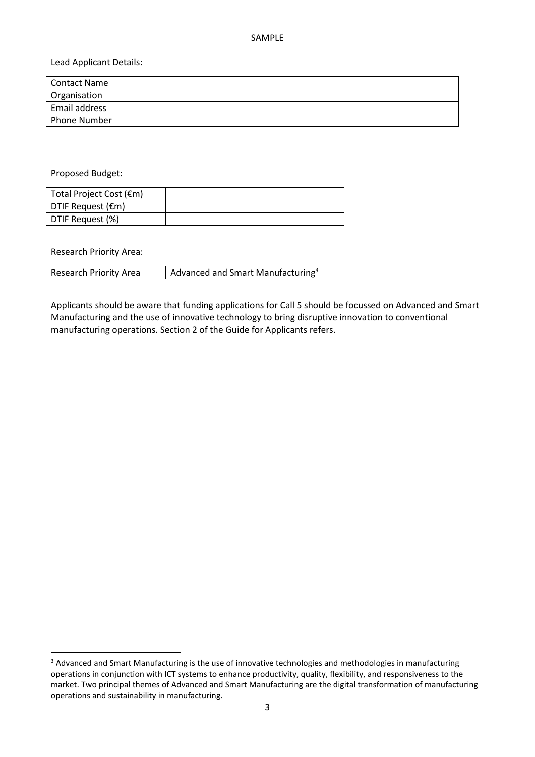Lead Applicant Details:

| l Contact Name |  |
|----------------|--|
| Organisation   |  |
| Email address  |  |
| l Phone Number |  |

Proposed Budget:

| Total Project Cost (€m) |  |
|-------------------------|--|
| DTIF Request (€m)       |  |
| DTIF Request (%)        |  |

Research Priority Area:

 $\overline{\phantom{a}}$ 

| <b>Research Priority Area</b> | $\vert$ Advanced and Smart Manufacturing <sup>3</sup> |
|-------------------------------|-------------------------------------------------------|
|-------------------------------|-------------------------------------------------------|

Applicants should be aware that funding applications for Call 5 should be focussed on Advanced and Smart Manufacturing and the use of innovative technology to bring disruptive innovation to conventional manufacturing operations. Section 2 of the Guide for Applicants refers.

<sup>&</sup>lt;sup>3</sup> Advanced and Smart Manufacturing is the use of innovative technologies and methodologies in manufacturing operations in conjunction with ICT systems to enhance productivity, quality, flexibility, and responsiveness to the market. Two principal themes of Advanced and Smart Manufacturing are the digital transformation of manufacturing operations and sustainability in manufacturing.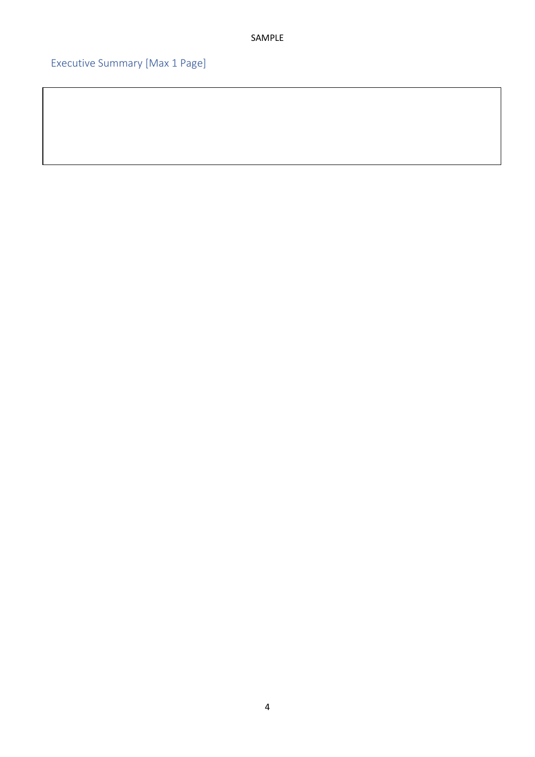Executive Summary [Max 1 Page]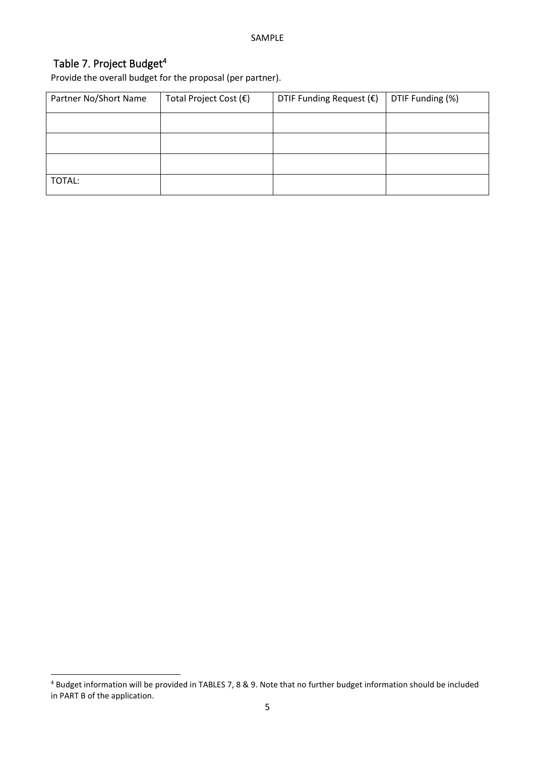## Table 7. Project Budget 4

Provide the overall budget for the proposal (per partner).

| Partner No/Short Name | Total Project Cost (€) | DTIF Funding Request $(\epsilon)$ | DTIF Funding (%) |
|-----------------------|------------------------|-----------------------------------|------------------|
|                       |                        |                                   |                  |
|                       |                        |                                   |                  |
|                       |                        |                                   |                  |
| TOTAL:                |                        |                                   |                  |

<sup>4</sup> Budget information will be provided in TABLES 7, 8 & 9. Note that no further budget information should be included in PART B of the application.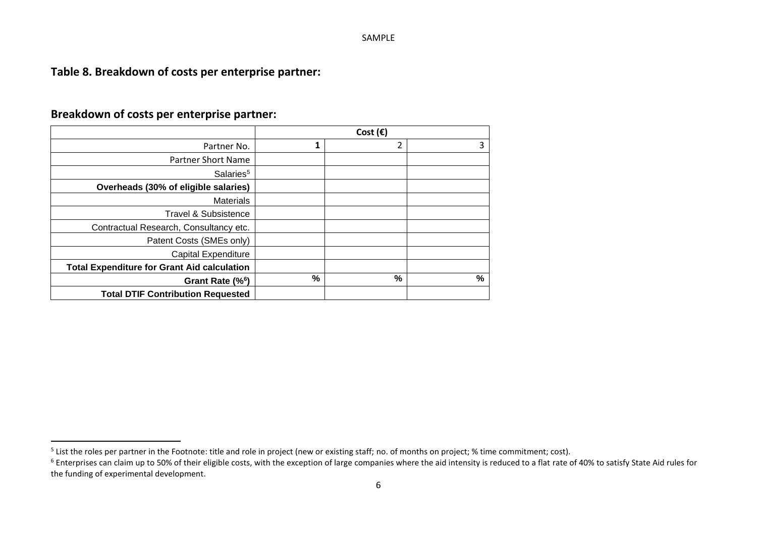# **Table 8. Breakdown of costs per enterprise partner:**

# **Breakdown of costs per enterprise partner:**

|                                                    |   | Cost $(\epsilon)$ |   |
|----------------------------------------------------|---|-------------------|---|
| Partner No.                                        |   | 2                 | 3 |
| <b>Partner Short Name</b>                          |   |                   |   |
| Salaries <sup>5</sup>                              |   |                   |   |
| Overheads (30% of eligible salaries)               |   |                   |   |
| <b>Materials</b>                                   |   |                   |   |
| <b>Travel &amp; Subsistence</b>                    |   |                   |   |
| Contractual Research, Consultancy etc.             |   |                   |   |
| Patent Costs (SMEs only)                           |   |                   |   |
| <b>Capital Expenditure</b>                         |   |                   |   |
| <b>Total Expenditure for Grant Aid calculation</b> |   |                   |   |
| Grant Rate (% <sup>6</sup> )                       | % | %                 | % |
| <b>Total DTIF Contribution Requested</b>           |   |                   |   |

 $^5$  List the roles per partner in the Footnote: title and role in project (new or existing staff; no. of months on project; % time commitment; cost).

<sup>&</sup>lt;sup>6</sup> Enterprises can claim up to 50% of their eligible costs, with the exception of large companies where the aid intensity is reduced to a flat rate of 40% to satisfy State Aid rules for the funding of experimental development.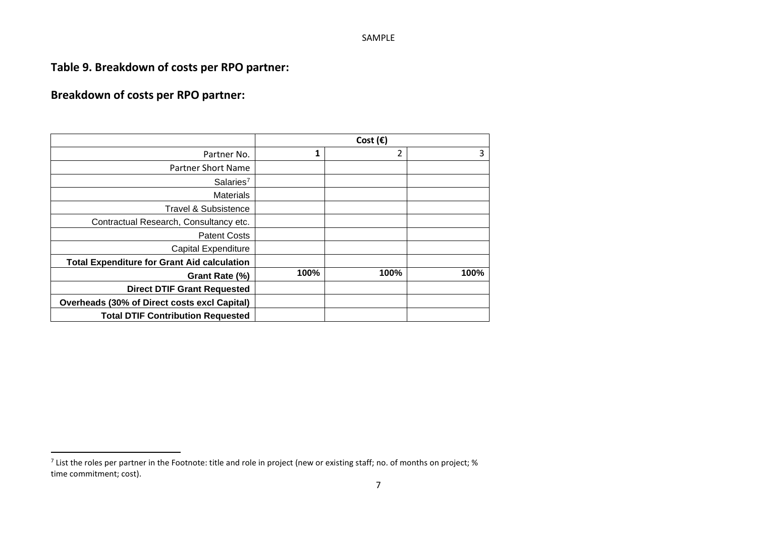**Table 9. Breakdown of costs per RPO partner:**

# **Breakdown of costs per RPO partner:**

|                                                     |      | Cost $(\epsilon)$ |      |
|-----------------------------------------------------|------|-------------------|------|
| Partner No.                                         | 1    | 2                 | 3    |
| <b>Partner Short Name</b>                           |      |                   |      |
| Salaries <sup>7</sup>                               |      |                   |      |
| <b>Materials</b>                                    |      |                   |      |
| Travel & Subsistence                                |      |                   |      |
| Contractual Research, Consultancy etc.              |      |                   |      |
| <b>Patent Costs</b>                                 |      |                   |      |
| <b>Capital Expenditure</b>                          |      |                   |      |
| <b>Total Expenditure for Grant Aid calculation</b>  |      |                   |      |
| Grant Rate (%)                                      | 100% | 100%              | 100% |
| <b>Direct DTIF Grant Requested</b>                  |      |                   |      |
| <b>Overheads (30% of Direct costs excl Capital)</b> |      |                   |      |
| <b>Total DTIF Contribution Requested</b>            |      |                   |      |

<sup>&</sup>lt;sup>7</sup> List the roles per partner in the Footnote: title and role in project (new or existing staff; no. of months on project; % time commitment; cost).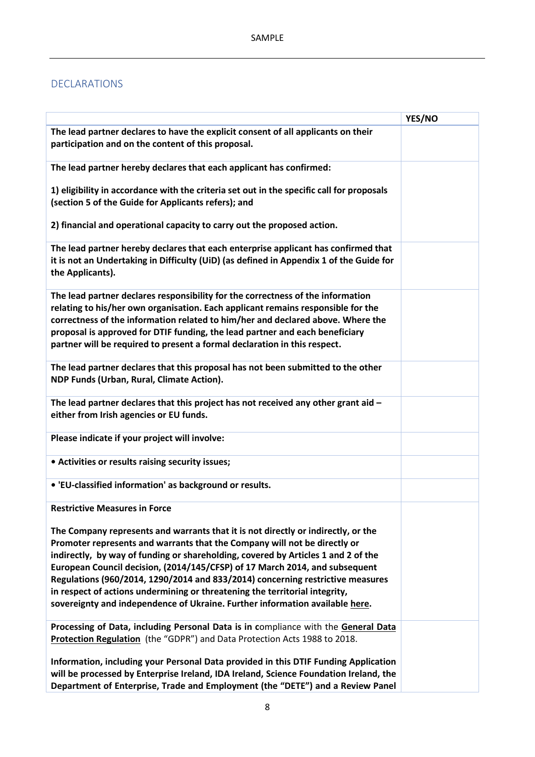## DECLARATIONS

|                                                                                                                                                                                                                                                                                                                                                                                                                                                                                                                                                                                     | YES/NO |
|-------------------------------------------------------------------------------------------------------------------------------------------------------------------------------------------------------------------------------------------------------------------------------------------------------------------------------------------------------------------------------------------------------------------------------------------------------------------------------------------------------------------------------------------------------------------------------------|--------|
| The lead partner declares to have the explicit consent of all applicants on their<br>participation and on the content of this proposal.                                                                                                                                                                                                                                                                                                                                                                                                                                             |        |
| The lead partner hereby declares that each applicant has confirmed:                                                                                                                                                                                                                                                                                                                                                                                                                                                                                                                 |        |
| 1) eligibility in accordance with the criteria set out in the specific call for proposals<br>(section 5 of the Guide for Applicants refers); and                                                                                                                                                                                                                                                                                                                                                                                                                                    |        |
| 2) financial and operational capacity to carry out the proposed action.                                                                                                                                                                                                                                                                                                                                                                                                                                                                                                             |        |
| The lead partner hereby declares that each enterprise applicant has confirmed that<br>it is not an Undertaking in Difficulty (UiD) (as defined in Appendix 1 of the Guide for<br>the Applicants).                                                                                                                                                                                                                                                                                                                                                                                   |        |
| The lead partner declares responsibility for the correctness of the information<br>relating to his/her own organisation. Each applicant remains responsible for the<br>correctness of the information related to him/her and declared above. Where the<br>proposal is approved for DTIF funding, the lead partner and each beneficiary<br>partner will be required to present a formal declaration in this respect.                                                                                                                                                                 |        |
| The lead partner declares that this proposal has not been submitted to the other<br>NDP Funds (Urban, Rural, Climate Action).                                                                                                                                                                                                                                                                                                                                                                                                                                                       |        |
| The lead partner declares that this project has not received any other grant aid -<br>either from Irish agencies or EU funds.                                                                                                                                                                                                                                                                                                                                                                                                                                                       |        |
| Please indicate if your project will involve:                                                                                                                                                                                                                                                                                                                                                                                                                                                                                                                                       |        |
| • Activities or results raising security issues;                                                                                                                                                                                                                                                                                                                                                                                                                                                                                                                                    |        |
| • 'EU-classified information' as background or results.                                                                                                                                                                                                                                                                                                                                                                                                                                                                                                                             |        |
| <b>Restrictive Measures in Force</b>                                                                                                                                                                                                                                                                                                                                                                                                                                                                                                                                                |        |
| The Company represents and warrants that it is not directly or indirectly, or the<br>Promoter represents and warrants that the Company will not be directly or<br>indirectly, by way of funding or shareholding, covered by Articles 1 and 2 of the<br>European Council decision, (2014/145/CFSP) of 17 March 2014, and subsequent<br>Regulations (960/2014, 1290/2014 and 833/2014) concerning restrictive measures<br>in respect of actions undermining or threatening the territorial integrity,<br>sovereignty and independence of Ukraine. Further information available here. |        |
| Processing of Data, including Personal Data is in compliance with the General Data<br>Protection Regulation (the "GDPR") and Data Protection Acts 1988 to 2018.                                                                                                                                                                                                                                                                                                                                                                                                                     |        |
| Information, including your Personal Data provided in this DTIF Funding Application<br>will be processed by Enterprise Ireland, IDA Ireland, Science Foundation Ireland, the<br>Department of Enterprise, Trade and Employment (the "DETE") and a Review Panel                                                                                                                                                                                                                                                                                                                      |        |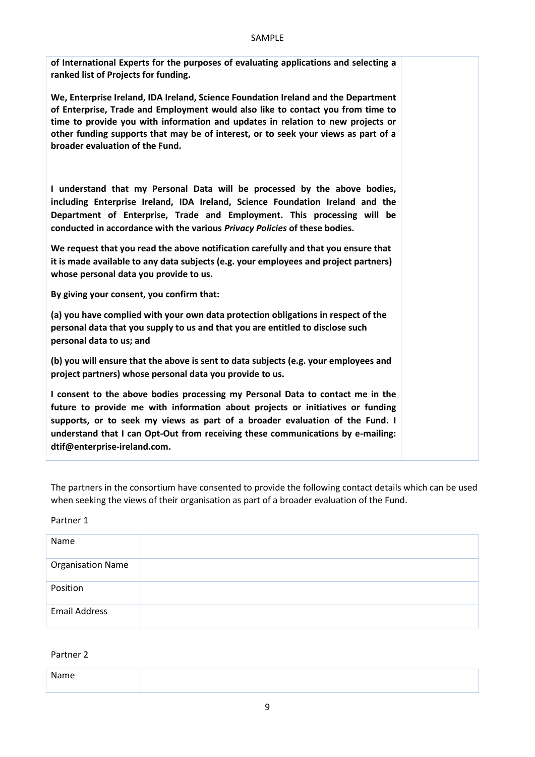| of International Experts for the purposes of evaluating applications and selecting a<br>ranked list of Projects for funding.                                                                                                                                                                                                                                                      |  |
|-----------------------------------------------------------------------------------------------------------------------------------------------------------------------------------------------------------------------------------------------------------------------------------------------------------------------------------------------------------------------------------|--|
| We, Enterprise Ireland, IDA Ireland, Science Foundation Ireland and the Department<br>of Enterprise, Trade and Employment would also like to contact you from time to<br>time to provide you with information and updates in relation to new projects or<br>other funding supports that may be of interest, or to seek your views as part of a<br>broader evaluation of the Fund. |  |
| I understand that my Personal Data will be processed by the above bodies,<br>including Enterprise Ireland, IDA Ireland, Science Foundation Ireland and the<br>Department of Enterprise, Trade and Employment. This processing will be<br>conducted in accordance with the various Privacy Policies of these bodies.                                                               |  |
| We request that you read the above notification carefully and that you ensure that<br>it is made available to any data subjects (e.g. your employees and project partners)<br>whose personal data you provide to us.                                                                                                                                                              |  |
| By giving your consent, you confirm that:                                                                                                                                                                                                                                                                                                                                         |  |
| (a) you have complied with your own data protection obligations in respect of the<br>personal data that you supply to us and that you are entitled to disclose such<br>personal data to us; and                                                                                                                                                                                   |  |
| (b) you will ensure that the above is sent to data subjects (e.g. your employees and<br>project partners) whose personal data you provide to us.                                                                                                                                                                                                                                  |  |
| I consent to the above bodies processing my Personal Data to contact me in the<br>future to provide me with information about projects or initiatives or funding<br>supports, or to seek my views as part of a broader evaluation of the Fund. I<br>understand that I can Opt-Out from receiving these communications by e-mailing:<br>dtif@enterprise-ireland.com.               |  |

The partners in the consortium have consented to provide the following contact details which can be used when seeking the views of their organisation as part of a broader evaluation of the Fund.

Partner 1

| Name                     |  |
|--------------------------|--|
| <b>Organisation Name</b> |  |
| Position                 |  |
| <b>Email Address</b>     |  |

Partner 2

| Name |  |
|------|--|
|      |  |
|      |  |
|      |  |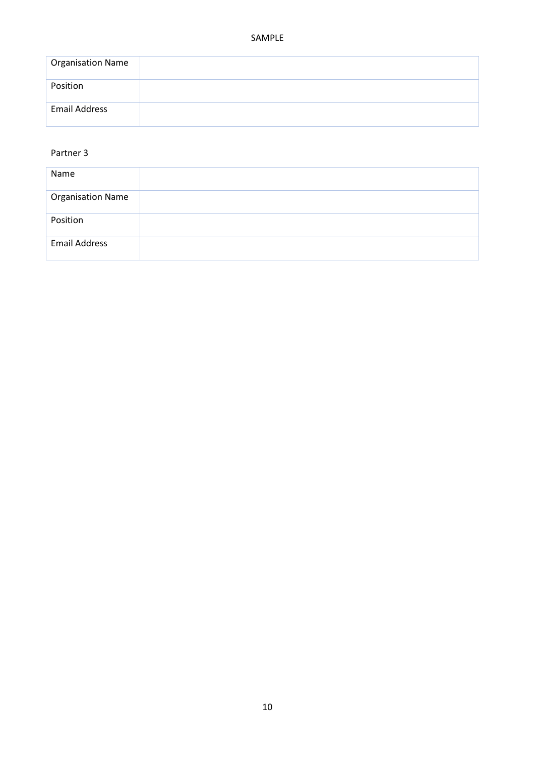| <b>Organisation Name</b> |  |
|--------------------------|--|
| Position                 |  |
| <b>Email Address</b>     |  |

#### Partner 3

| Name                     |  |
|--------------------------|--|
| <b>Organisation Name</b> |  |
| Position                 |  |
| <b>Email Address</b>     |  |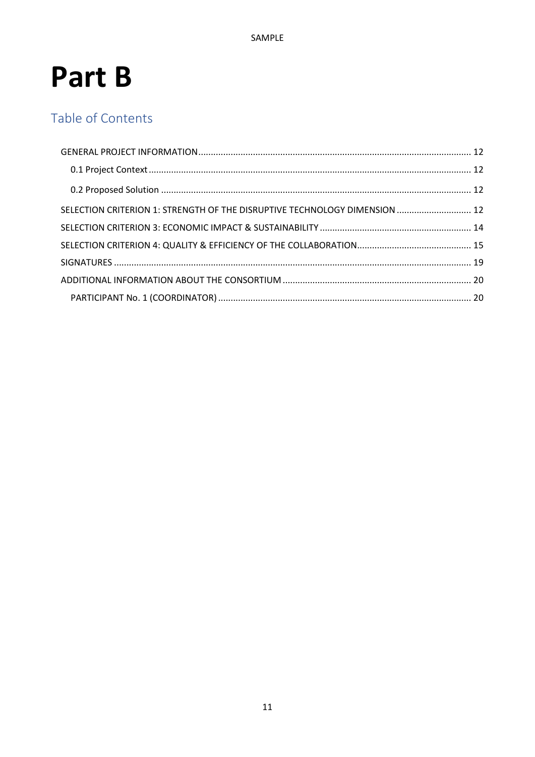# Part B

# Table of Contents

| SELECTION CRITERION 1: STRENGTH OF THE DISRUPTIVE TECHNOLOGY DIMENSION  12 |  |
|----------------------------------------------------------------------------|--|
|                                                                            |  |
|                                                                            |  |
|                                                                            |  |
|                                                                            |  |
|                                                                            |  |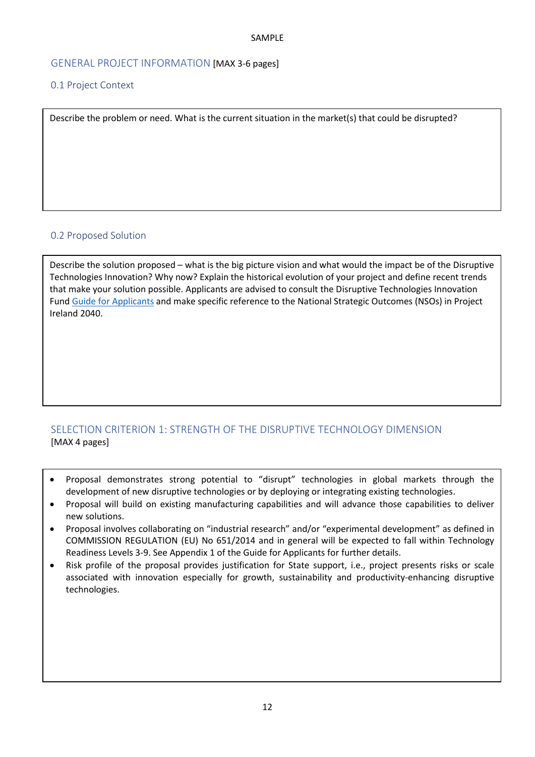#### <span id="page-11-0"></span>GENERAL PROJECT INFORMATION [MAX 3-6 pages]

#### <span id="page-11-1"></span>0.1 Project Context

Describe the problem or need. What is the current situation in the market(s) that could be disrupted?

#### <span id="page-11-2"></span>0.2 Proposed Solution

Describe the solution proposed – what is the big picture vision and what would the impact be of the Disruptive Technologies Innovation? Why now? Explain the historical evolution of your project and define recent trends that make your solution possible. Applicants are advised to consult the Disruptive Technologies Innovation Fund Guide for [Applicants](https://dbei.gov.ie/en/Publications/Disruptive-Technologies-Innovation-Fund-Call-2-Documentation.html) and make specific reference to the National Strategic Outcomes (NSOs) in Project Ireland 2040.

## <span id="page-11-3"></span>SELECTION CRITERION 1: STRENGTH OF THE DISRUPTIVE TECHNOLOGY DIMENSION [MAX 4 pages]

- Proposal demonstrates strong potential to "disrupt" technologies in global markets through the development of new disruptive technologies or by deploying or integrating existing technologies.
- Proposal will build on existing manufacturing capabilities and will advance those capabilities to deliver new solutions.
- Proposal involves collaborating on "industrial research" and/or "experimental development" as defined in COMMISSION REGULATION (EU) No 651/2014 and in general will be expected to fall within Technology Readiness Levels 3-9. See Appendix 1 of the Guide for Applicants for further details.
- Risk profile of the proposal provides justification for State support, i.e., project presents risks or scale associated with innovation especially for growth, sustainability and productivity-enhancing disruptive technologies.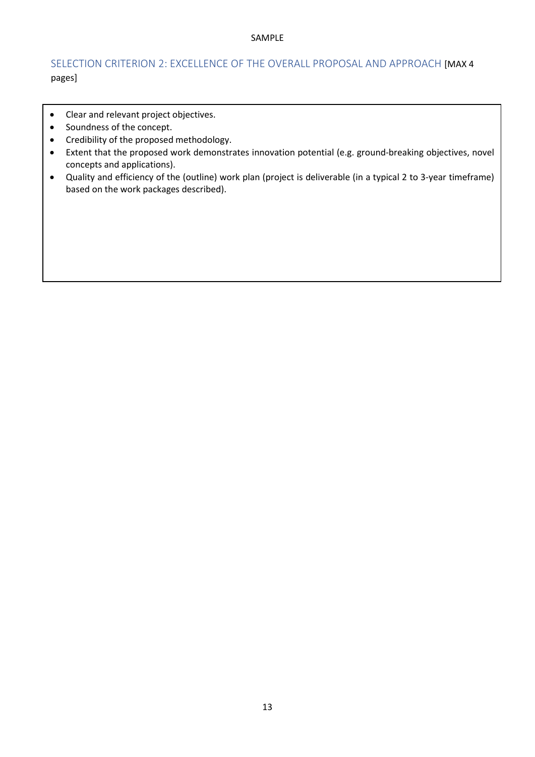## SELECTION CRITERION 2: EXCELLENCE OF THE OVERALL PROPOSAL AND APPROACH [MAX 4 pages]

- Clear and relevant project objectives.
- Soundness of the concept.
- Credibility of the proposed methodology.
- Extent that the proposed work demonstrates innovation potential (e.g. ground-breaking objectives, novel concepts and applications).
- Quality and efficiency of the (outline) work plan (project is deliverable (in a typical 2 to 3-year timeframe) based on the work packages described).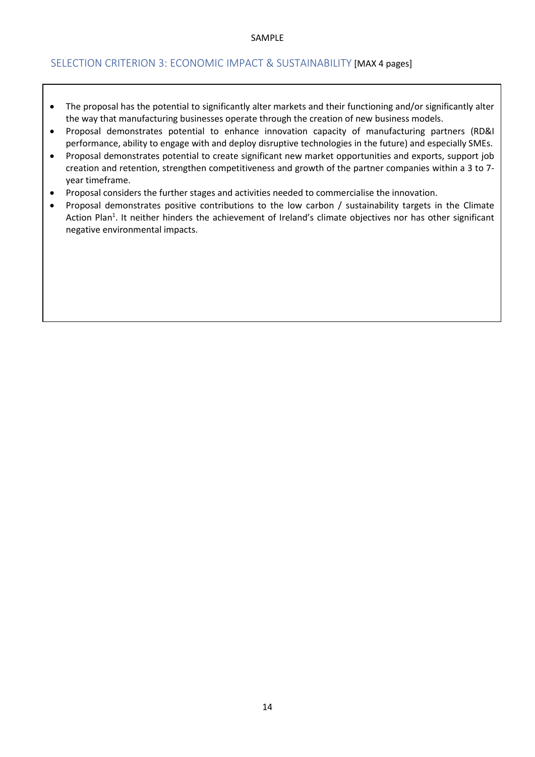#### <span id="page-13-0"></span>SELECTION CRITERION 3: ECONOMIC IMPACT & SUSTAINABILITY [MAX 4 pages]

- The proposal has the potential to significantly alter markets and their functioning and/or significantly alter the way that manufacturing businesses operate through the creation of new business models.
- Proposal demonstrates potential to enhance innovation capacity of manufacturing partners (RD&I performance, ability to engage with and deploy disruptive technologies in the future) and especially SMEs.
- Proposal demonstrates potential to create significant new market opportunities and exports, support job creation and retention, strengthen competitiveness and growth of the partner companies within a 3 to 7 year timeframe.
- Proposal considers the further stages and activities needed to commercialise the innovation.
- Proposal demonstrates positive contributions to the low carbon / sustainability targets in the Climate Action Plan<sup>1</sup>. It neither hinders the achievement of Ireland's climate objectives nor has other significant negative environmental impacts.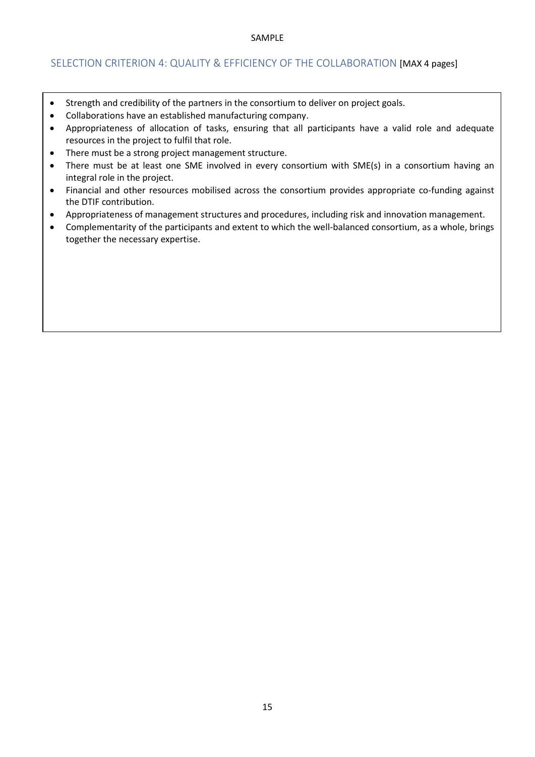#### <span id="page-14-0"></span>SELECTION CRITERION 4: QUALITY & EFFICIENCY OF THE COLLABORATION [MAX 4 pages]

- Strength and credibility of the partners in the consortium to deliver on project goals.
- Collaborations have an established manufacturing company.
- Appropriateness of allocation of tasks, ensuring that all participants have a valid role and adequate resources in the project to fulfil that role.
- There must be a strong project management structure.
- There must be at least one SME involved in every consortium with SME(s) in a consortium having an integral role in the project.
- Financial and other resources mobilised across the consortium provides appropriate co-funding against the DTIF contribution.
- Appropriateness of management structures and procedures, including risk and innovation management.
- Complementarity of the participants and extent to which the well-balanced consortium, as a whole, brings together the necessary expertise.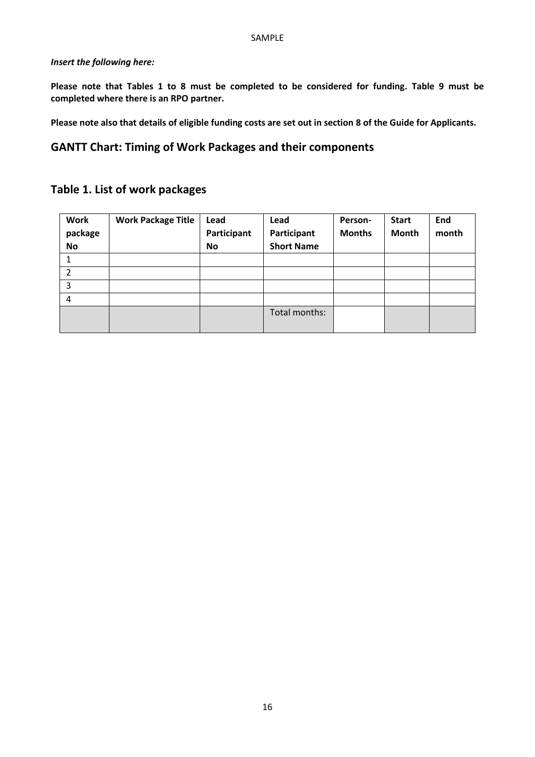#### *Insert the following here:*

**Please note that Tables 1 to 8 must be completed to be considered for funding. Table 9 must be completed where there is an RPO partner.**

**Please note also that details of eligible funding costs are set out in section 8 of the Guide for Applicants.**

## **GANTT Chart: Timing of Work Packages and their components**

# **Table 1. List of work packages**

| <b>Work</b><br>package<br><b>No</b> | <b>Work Package Title</b> | Lead<br>Participant<br><b>No</b> | Lead<br>Participant<br><b>Short Name</b> | Person-<br><b>Months</b> | <b>Start</b><br><b>Month</b> | End<br>month |
|-------------------------------------|---------------------------|----------------------------------|------------------------------------------|--------------------------|------------------------------|--------------|
| 1                                   |                           |                                  |                                          |                          |                              |              |
| 2                                   |                           |                                  |                                          |                          |                              |              |
| 3                                   |                           |                                  |                                          |                          |                              |              |
| 4                                   |                           |                                  |                                          |                          |                              |              |
|                                     |                           |                                  | Total months:                            |                          |                              |              |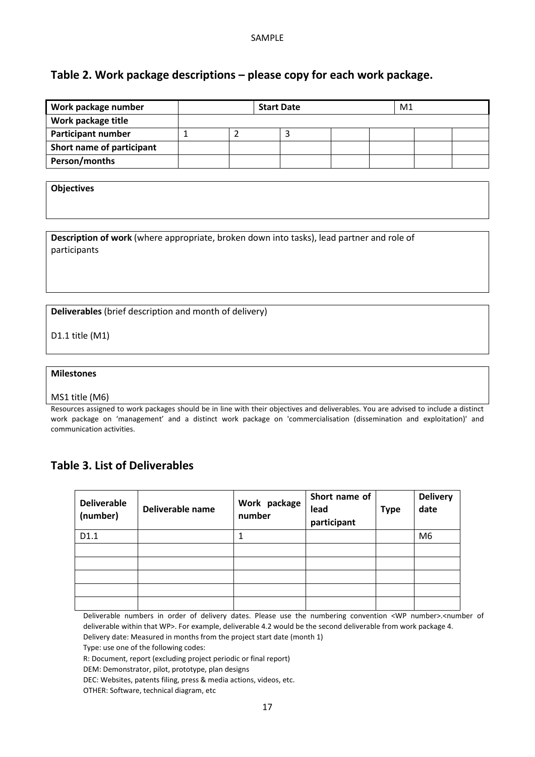## **Table 2. Work package descriptions – please copy for each work package.**

| <b>Work package number</b> |  | <b>Start Date</b> |  | M1 |  |
|----------------------------|--|-------------------|--|----|--|
| Work package title         |  |                   |  |    |  |
| <b>Participant number</b>  |  |                   |  |    |  |
| Short name of participant  |  |                   |  |    |  |
| Person/months              |  |                   |  |    |  |

**Objectives**

**Description of work** (where appropriate, broken down into tasks), lead partner and role of participants

**Deliverables** (brief description and month of delivery)

D1.1 title (M1)

**Milestones** 

MS1 title (M6)

Resources assigned to work packages should be in line with their objectives and deliverables. You are advised to include a distinct work package on 'management' and a distinct work package on 'commercialisation (dissemination and exploitation)' and communication activities.

## **Table 3. List of Deliverables**

| <b>Deliverable</b><br>(number) | Deliverable name | Work package<br>number | Short name of<br>lead<br>participant | <b>Type</b> | <b>Delivery</b><br>date |
|--------------------------------|------------------|------------------------|--------------------------------------|-------------|-------------------------|
| D1.1                           |                  |                        |                                      |             | M <sub>6</sub>          |
|                                |                  |                        |                                      |             |                         |
|                                |                  |                        |                                      |             |                         |
|                                |                  |                        |                                      |             |                         |
|                                |                  |                        |                                      |             |                         |
|                                |                  |                        |                                      |             |                         |

Deliverable numbers in order of delivery dates. Please use the numbering convention <WP number>.<number of deliverable within that WP>. For example, deliverable 4.2 would be the second deliverable from work package 4.

Delivery date: Measured in months from the project start date (month 1)

Type: use one of the following codes:

R: Document, report (excluding project periodic or final report)

DEM: Demonstrator, pilot, prototype, plan designs

DEC: Websites, patents filing, press & media actions, videos, etc.

OTHER: Software, technical diagram, etc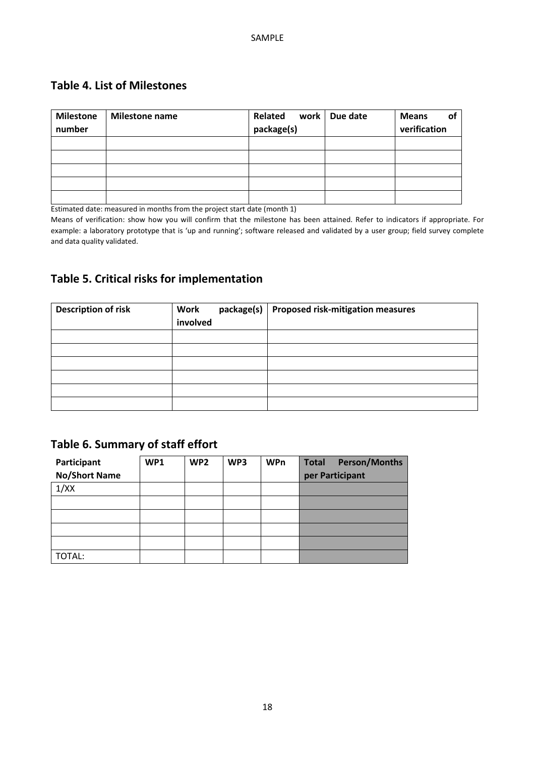## **Table 4. List of Milestones**

| <b>Milestone</b><br>number | <b>Milestone name</b> | Related<br>work  <br>package(s) | Due date | <b>Means</b><br>οl<br>verification |
|----------------------------|-----------------------|---------------------------------|----------|------------------------------------|
|                            |                       |                                 |          |                                    |
|                            |                       |                                 |          |                                    |
|                            |                       |                                 |          |                                    |
|                            |                       |                                 |          |                                    |
|                            |                       |                                 |          |                                    |

Estimated date: measured in months from the project start date (month 1)

Means of verification: show how you will confirm that the milestone has been attained. Refer to indicators if appropriate. For example: a laboratory prototype that is 'up and running'; software released and validated by a user group; field survey complete and data quality validated.

# **Table 5. Critical risks for implementation**

| <b>Description of risk</b> | package(s)<br>Work<br>involved | Proposed risk-mitigation measures |
|----------------------------|--------------------------------|-----------------------------------|
|                            |                                |                                   |
|                            |                                |                                   |
|                            |                                |                                   |
|                            |                                |                                   |
|                            |                                |                                   |
|                            |                                |                                   |

# **Table 6. Summary of staff effort**

| Participant<br><b>No/Short Name</b> | WP1 | WP <sub>2</sub> | WP3 | <b>WPn</b> | <b>Person/Months</b><br>Total<br>per Participant |
|-------------------------------------|-----|-----------------|-----|------------|--------------------------------------------------|
| 1/XX                                |     |                 |     |            |                                                  |
|                                     |     |                 |     |            |                                                  |
|                                     |     |                 |     |            |                                                  |
|                                     |     |                 |     |            |                                                  |
|                                     |     |                 |     |            |                                                  |
| TOTAL:                              |     |                 |     |            |                                                  |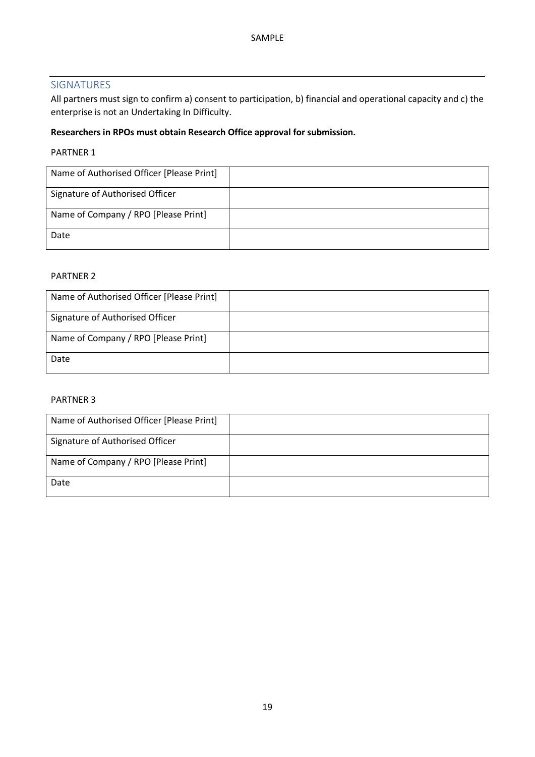### <span id="page-18-0"></span>SIGNATURES

All partners must sign to confirm a) consent to participation, b) financial and operational capacity and c) the enterprise is not an Undertaking In Difficulty.

### **Researchers in RPOs must obtain Research Office approval for submission.**

#### PARTNER 1

| Name of Authorised Officer [Please Print] |  |
|-------------------------------------------|--|
| Signature of Authorised Officer           |  |
| Name of Company / RPO [Please Print]      |  |
| Date                                      |  |

#### PARTNER 2

| Name of Authorised Officer [Please Print] |  |
|-------------------------------------------|--|
| Signature of Authorised Officer           |  |
| Name of Company / RPO [Please Print]      |  |
| Date                                      |  |

#### PARTNER 3

| Name of Authorised Officer [Please Print] |  |
|-------------------------------------------|--|
| Signature of Authorised Officer           |  |
| Name of Company / RPO [Please Print]      |  |
| Date                                      |  |